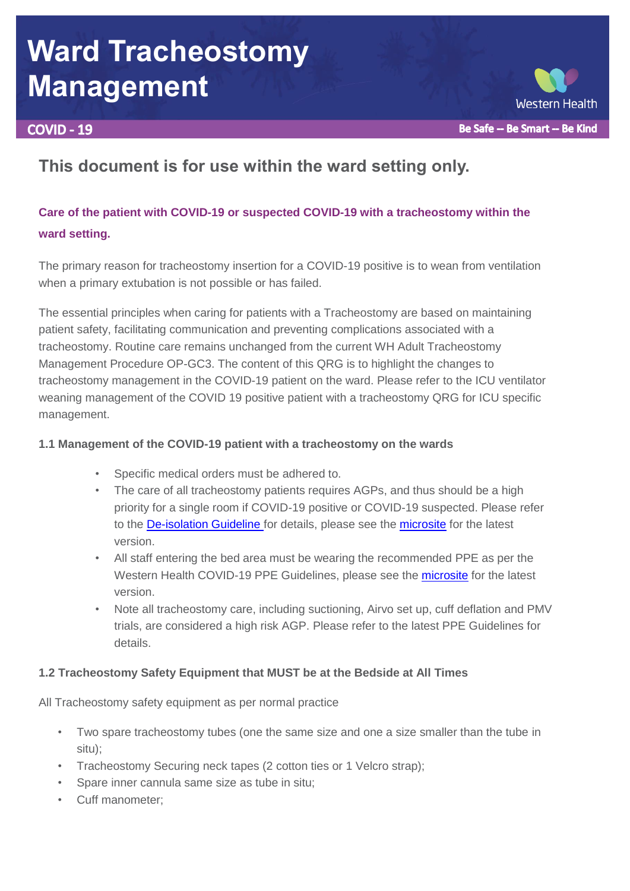# **Ward Tracheostomy Management**

# **COVID - 19**



# **This document is for use within the ward setting only.**

# **Care of the patient with COVID-19 or suspected COVID-19 with a tracheostomy within the ward setting.**

The primary reason for tracheostomy insertion for a COVID-19 positive is to wean from ventilation when a primary extubation is not possible or has failed.

The essential principles when caring for patients with a Tracheostomy are based on maintaining patient safety, facilitating communication and preventing complications associated with a tracheostomy. Routine care remains unchanged from the current WH Adult Tracheostomy Management Procedure OP-GC3. The content of this QRG is to highlight the changes to tracheostomy management in the COVID-19 patient on the ward. Please refer to the ICU ventilator weaning management of the COVID 19 positive patient with a tracheostomy QRG for ICU specific management.

# **1.1 Management of the COVID-19 patient with a tracheostomy on the wards**

- Specific medical orders must be adhered to.
- The care of all tracheostomy patients requires AGPs, and thus should be a high priority for a single room if COVID-19 positive or COVID-19 suspected. Please refer to the **De-isolation Guideline** for details, please see the **microsite** for the latest version.
- All staff entering the bed area must be wearing the recommended PPE as per the Western Health COVID-19 PPE Guidelines, please see the [microsite](https://coronavirus.wh.org.au/ppe/) for the latest version.
- Note all tracheostomy care, including suctioning, Airvo set up, cuff deflation and PMV trials, are considered a high risk AGP. Please refer to the latest PPE Guidelines for details.

# **1.2 Tracheostomy Safety Equipment that MUST be at the Bedside at All Times**

All Tracheostomy safety equipment as per normal practice

- Two spare tracheostomy tubes (one the same size and one a size smaller than the tube in situ);
- Tracheostomy Securing neck tapes (2 cotton ties or 1 Velcro strap);
- Spare inner cannula same size as tube in situ;
- Cuff manometer;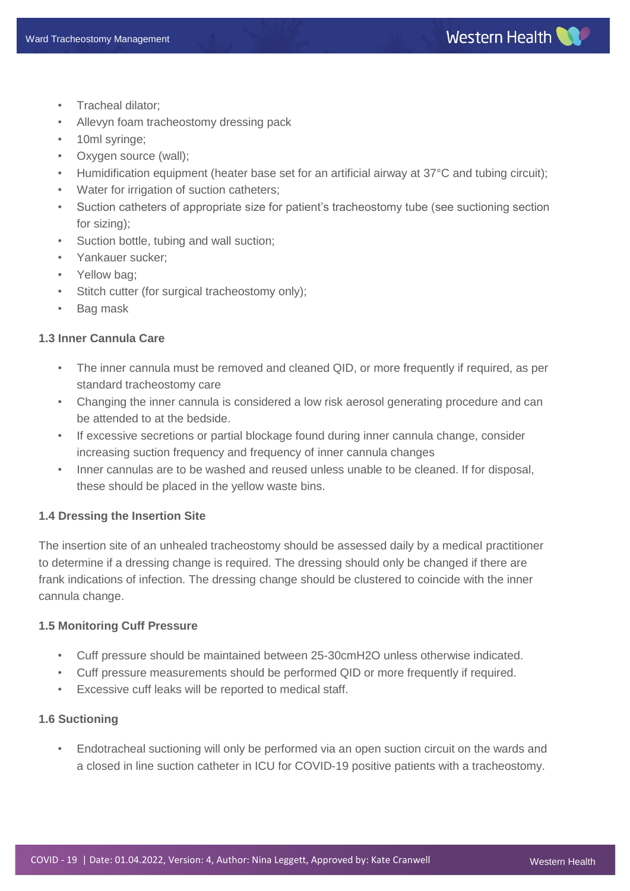- Tracheal dilator;
- Allevyn foam tracheostomy dressing pack
- 10ml syringe;
- Oxygen source (wall);
- Humidification equipment (heater base set for an artificial airway at 37°C and tubing circuit);
- Water for irrigation of suction catheters;
- Suction catheters of appropriate size for patient's tracheostomy tube (see suctioning section for sizing);
- Suction bottle, tubing and wall suction;
- Yankauer sucker;
- Yellow bag:
- Stitch cutter (for surgical tracheostomy only);
- Bag mask

# **1.3 Inner Cannula Care**

- The inner cannula must be removed and cleaned QID, or more frequently if required, as per standard tracheostomy care
- Changing the inner cannula is considered a low risk aerosol generating procedure and can be attended to at the bedside.
- If excessive secretions or partial blockage found during inner cannula change, consider increasing suction frequency and frequency of inner cannula changes
- Inner cannulas are to be washed and reused unless unable to be cleaned. If for disposal, these should be placed in the yellow waste bins.

#### **1.4 Dressing the Insertion Site**

The insertion site of an unhealed tracheostomy should be assessed daily by a medical practitioner to determine if a dressing change is required. The dressing should only be changed if there are frank indications of infection. The dressing change should be clustered to coincide with the inner cannula change.

#### **1.5 Monitoring Cuff Pressure**

- Cuff pressure should be maintained between 25-30cmH2O unless otherwise indicated.
- Cuff pressure measurements should be performed QID or more frequently if required.
- Excessive cuff leaks will be reported to medical staff.

### **1.6 Suctioning**

• Endotracheal suctioning will only be performed via an open suction circuit on the wards and a closed in line suction catheter in ICU for COVID-19 positive patients with a tracheostomy.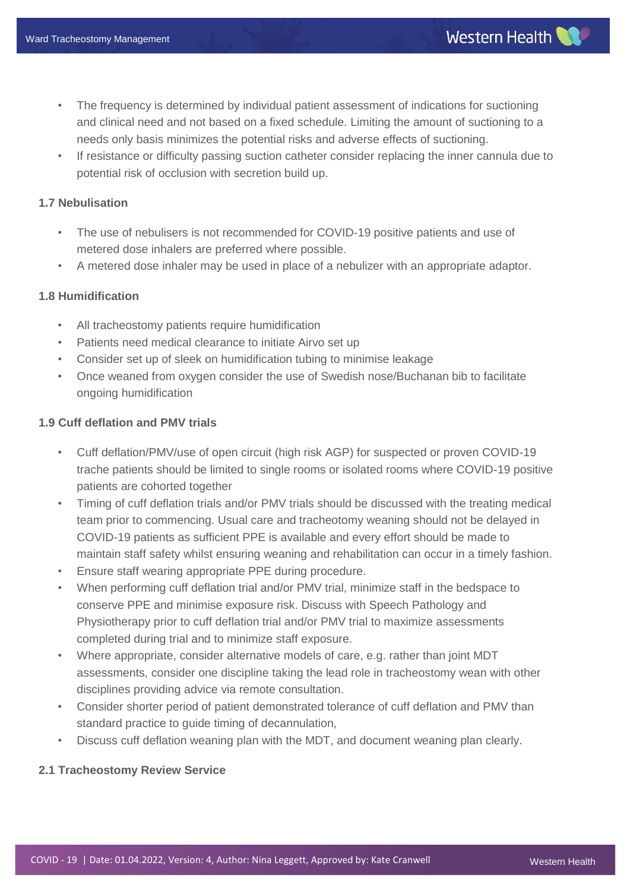- The frequency is determined by individual patient assessment of indications for suctioning and clinical need and not based on a fixed schedule. Limiting the amount of suctioning to a needs only basis minimizes the potential risks and adverse effects of suctioning.
- If resistance or difficulty passing suction catheter consider replacing the inner cannula due to potential risk of occlusion with secretion build up.

# **1.7 Nebulisation**

- The use of nebulisers is not recommended for COVID-19 positive patients and use of metered dose inhalers are preferred where possible.
- A metered dose inhaler may be used in place of a nebulizer with an appropriate adaptor.

# **1.8 Humidification**

- All tracheostomy patients require humidification
- Patients need medical clearance to initiate Airvo set up
- Consider set up of sleek on humidification tubing to minimise leakage
- Once weaned from oxygen consider the use of Swedish nose/Buchanan bib to facilitate ongoing humidification

# **1.9 Cuff deflation and PMV trials**

- Cuff deflation/PMV/use of open circuit (high risk AGP) for suspected or proven COVID-19 trache patients should be limited to single rooms or isolated rooms where COVID-19 positive patients are cohorted together
- Timing of cuff deflation trials and/or PMV trials should be discussed with the treating medical team prior to commencing. Usual care and tracheotomy weaning should not be delayed in COVID-19 patients as sufficient PPE is available and every effort should be made to maintain staff safety whilst ensuring weaning and rehabilitation can occur in a timely fashion.
- Ensure staff wearing appropriate PPE during procedure.
- When performing cuff deflation trial and/or PMV trial, minimize staff in the bedspace to conserve PPE and minimise exposure risk. Discuss with Speech Pathology and Physiotherapy prior to cuff deflation trial and/or PMV trial to maximize assessments completed during trial and to minimize staff exposure.
- Where appropriate, consider alternative models of care, e.g. rather than joint MDT assessments, consider one discipline taking the lead role in tracheostomy wean with other disciplines providing advice via remote consultation.
- Consider shorter period of patient demonstrated tolerance of cuff deflation and PMV than standard practice to guide timing of decannulation,
- Discuss cuff deflation weaning plan with the MDT, and document weaning plan clearly.

# **2.1 Tracheostomy Review Service**